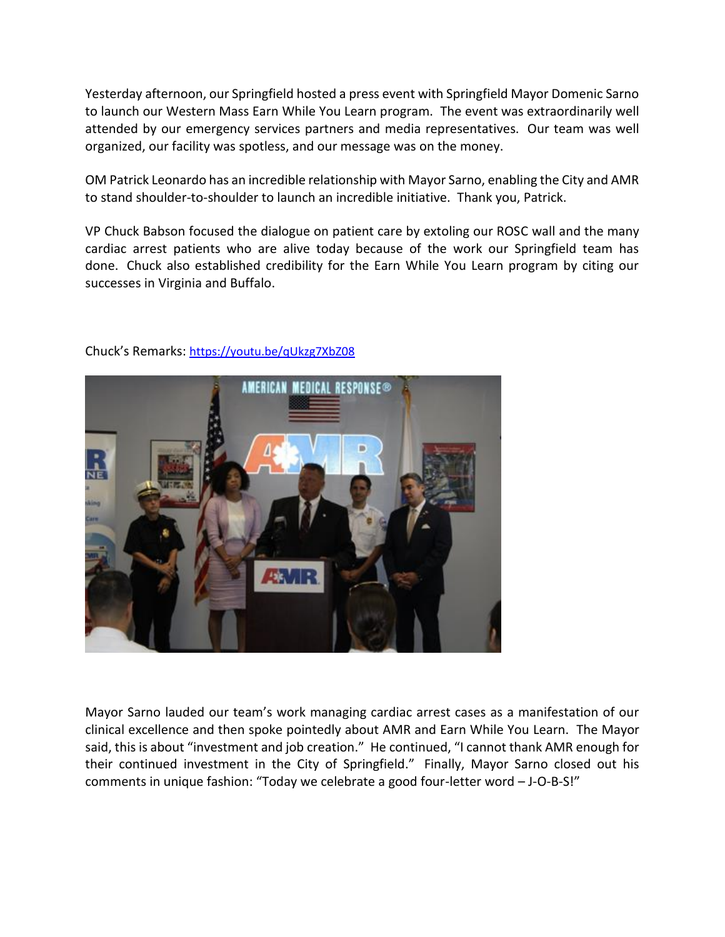Yesterday afternoon, our Springfield hosted a press event with Springfield Mayor Domenic Sarno to launch our Western Mass Earn While You Learn program. The event was extraordinarily well attended by our emergency services partners and media representatives. Our team was well organized, our facility was spotless, and our message was on the money.

OM Patrick Leonardo has an incredible relationship with Mayor Sarno, enabling the City and AMR to stand shoulder-to-shoulder to launch an incredible initiative. Thank you, Patrick.

VP Chuck Babson focused the dialogue on patient care by extoling our ROSC wall and the many cardiac arrest patients who are alive today because of the work our Springfield team has done. Chuck also established credibility for the Earn While You Learn program by citing our successes in Virginia and Buffalo.



Chuck's Remarks: <https://youtu.be/qUkzg7XbZ08>

Mayor Sarno lauded our team's work managing cardiac arrest cases as a manifestation of our clinical excellence and then spoke pointedly about AMR and Earn While You Learn. The Mayor said, this is about "investment and job creation." He continued, "I cannot thank AMR enough for their continued investment in the City of Springfield." Finally, Mayor Sarno closed out his comments in unique fashion: "Today we celebrate a good four-letter word – J-O-B-S!"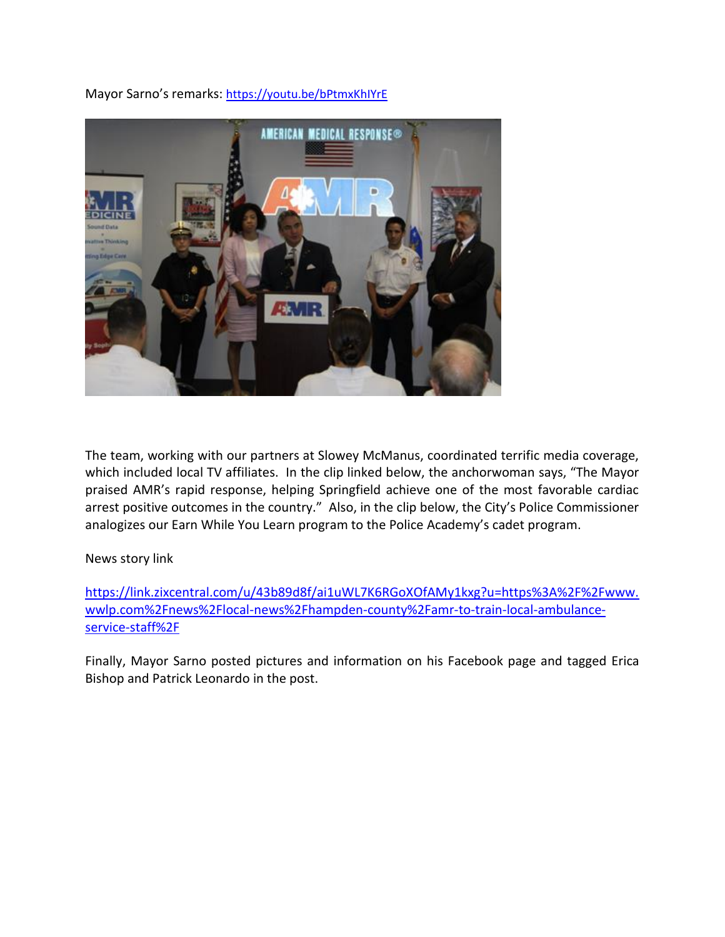

Mayor Sarno's remarks: <https://youtu.be/bPtmxKhIYrE>

The team, working with our partners at Slowey McManus, coordinated terrific media coverage, which included local TV affiliates. In the clip linked below, the anchorwoman says, "The Mayor praised AMR's rapid response, helping Springfield achieve one of the most favorable cardiac arrest positive outcomes in the country." Also, in the clip below, the City's Police Commissioner analogizes our Earn While You Learn program to the Police Academy's cadet program.

## News story link

[https://link.zixcentral.com/u/43b89d8f/ai1uWL7K6RGoXOfAMy1kxg?u=https%3A%2F%2Fwww.](https://link.zixcentral.com/u/43b89d8f/ai1uWL7K6RGoXOfAMy1kxg?u=https%3A%2F%2Fwww.wwlp.com%2Fnews%2Flocal-news%2Fhampden-county%2Famr-to-train-local-ambulance-service-staff%2F) [wwlp.com%2Fnews%2Flocal-news%2Fhampden-county%2Famr-to-train-local-ambulance](https://link.zixcentral.com/u/43b89d8f/ai1uWL7K6RGoXOfAMy1kxg?u=https%3A%2F%2Fwww.wwlp.com%2Fnews%2Flocal-news%2Fhampden-county%2Famr-to-train-local-ambulance-service-staff%2F)[service-staff%2F](https://link.zixcentral.com/u/43b89d8f/ai1uWL7K6RGoXOfAMy1kxg?u=https%3A%2F%2Fwww.wwlp.com%2Fnews%2Flocal-news%2Fhampden-county%2Famr-to-train-local-ambulance-service-staff%2F)

Finally, Mayor Sarno posted pictures and information on his Facebook page and tagged Erica Bishop and Patrick Leonardo in the post.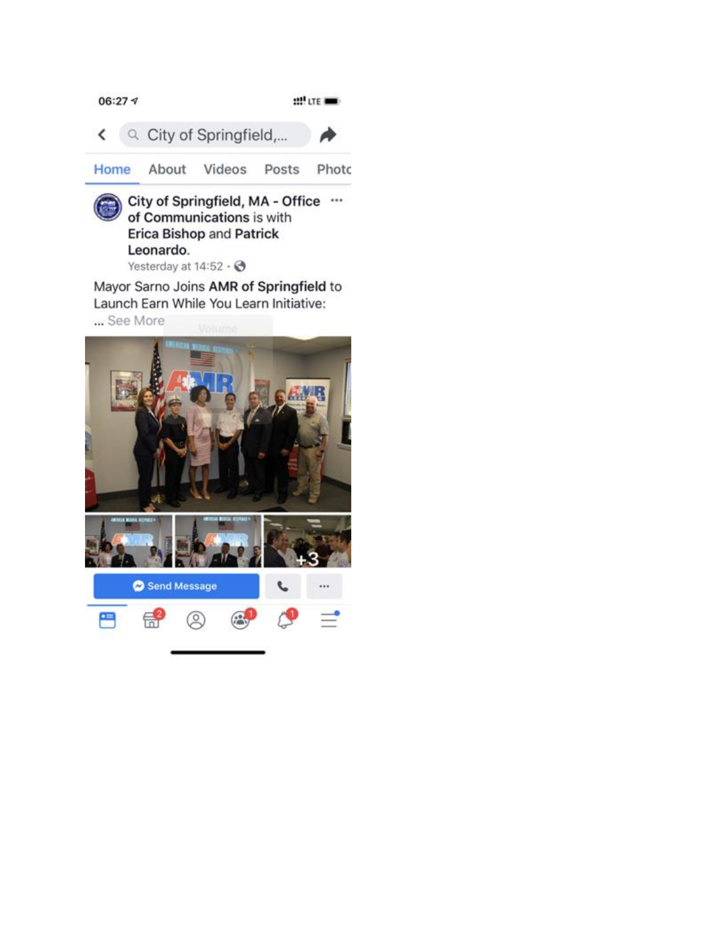

**Erica Bishop and Patrick** Leonardo.

Yesterday at  $14:52 \cdot \textcircled{3}$ 

Mayor Sarno Joins AMR of Springfield to Launch Earn While You Learn Initiative: